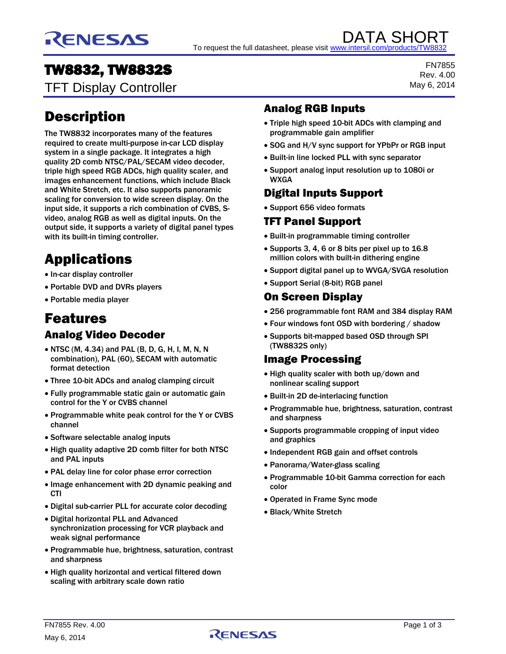

DATA SHORT To request the full datasheet, please visit www.intersil.com/product

# TW8832, TW8832S

TFT Display Controller

# Description

The TW8832 incorporates many of the features required to create multi-purpose in-car LCD display system in a single package. It integrates a high quality 2D comb NTSC/PAL/SECAM video decoder, triple high speed RGB ADCs, high quality scaler, and images enhancement functions, which include Black and White Stretch, etc. It also supports panoramic scaling for conversion to wide screen display. On the input side, it supports a rich combination of CVBS, Svideo, analog RGB as well as digital inputs. On the output side, it supports a variety of digital panel types with its built-in timing controller.

# Applications

- In-car display controller
- Portable DVD and DVRs players
- Portable media player

# Features

# Analog Video Decoder

- NTSC (M, 4.34) and PAL (B, D, G, H, I, M, N, N combination), PAL (60), SECAM with automatic format detection
- Three 10-bit ADCs and analog clamping circuit
- Fully programmable static gain or automatic gain control for the Y or CVBS channel
- Programmable white peak control for the Y or CVBS channel
- Software selectable analog inputs
- High quality adaptive 2D comb filter for both NTSC and PAL inputs
- PAL delay line for color phase error correction
- Image enhancement with 2D dynamic peaking and **CTI**
- Digital sub-carrier PLL for accurate color decoding
- Digital horizontal PLL and Advanced synchronization processing for VCR playback and weak signal performance
- Programmable hue, brightness, saturation, contrast and sharpness
- High quality horizontal and vertical filtered down scaling with arbitrary scale down ratio

## Analog RGB Inputs

- Triple high speed 10-bit ADCs with clamping and programmable gain amplifier
- SOG and H/V sync support for YPbPr or RGB input
- Built-in line locked PLL with sync separator
- Support analog input resolution up to 1080i or WXGA

# Digital Inputs Support

Support 656 video formats

# TFT Panel Support

- Built-in programmable timing controller
- Supports 3, 4, 6 or 8 bits per pixel up to 16.8 million colors with built-in dithering engine
- Support digital panel up to WVGA/SVGA resolution
- Support Serial (8-bit) RGB panel

#### On Screen Display

- 256 programmable font RAM and 384 display RAM
- Four windows font OSD with bordering / shadow
- Supports bit-mapped based OSD through SPI (TW8832S only)

### Image Processing

- High quality scaler with both up/down and nonlinear scaling support
- Built-in 2D de-interlacing function
- Programmable hue, brightness, saturation, contrast and sharpness
- Supports programmable cropping of input video and graphics
- Independent RGB gain and offset controls
- Panorama/Water-glass scaling
- Programmable 10-bit Gamma correction for each color
- Operated in Frame Sync mode
- Black/White Stretch

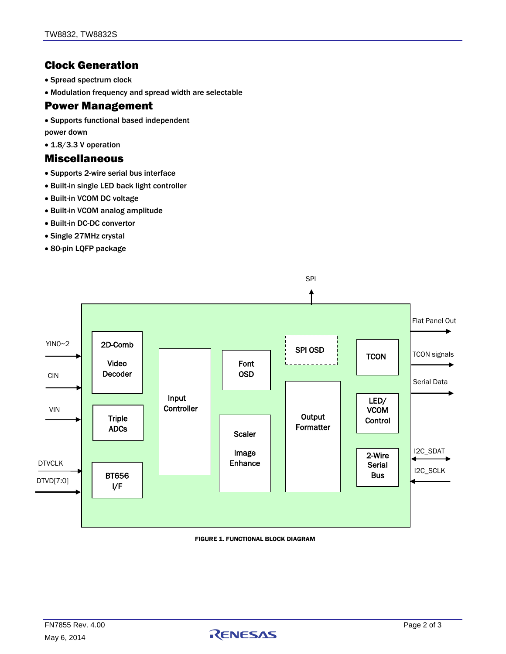## Clock Generation

- Spread spectrum clock
- Modulation frequency and spread width are selectable

#### Power Management

- Supports functional based independent
- power down
- 1.8/3.3 V operation

#### Miscellaneous

- Supports 2-wire serial bus interface
- Built-in single LED back light controller
- Built-in VCOM DC voltage
- Built-in VCOM analog amplitude
- Built-in DC-DC convertor
- Single 27MHz crystal
- 80-pin LQFP package



#### FIGURE 1. FUNCTIONAL BLOCK DIAGRAM